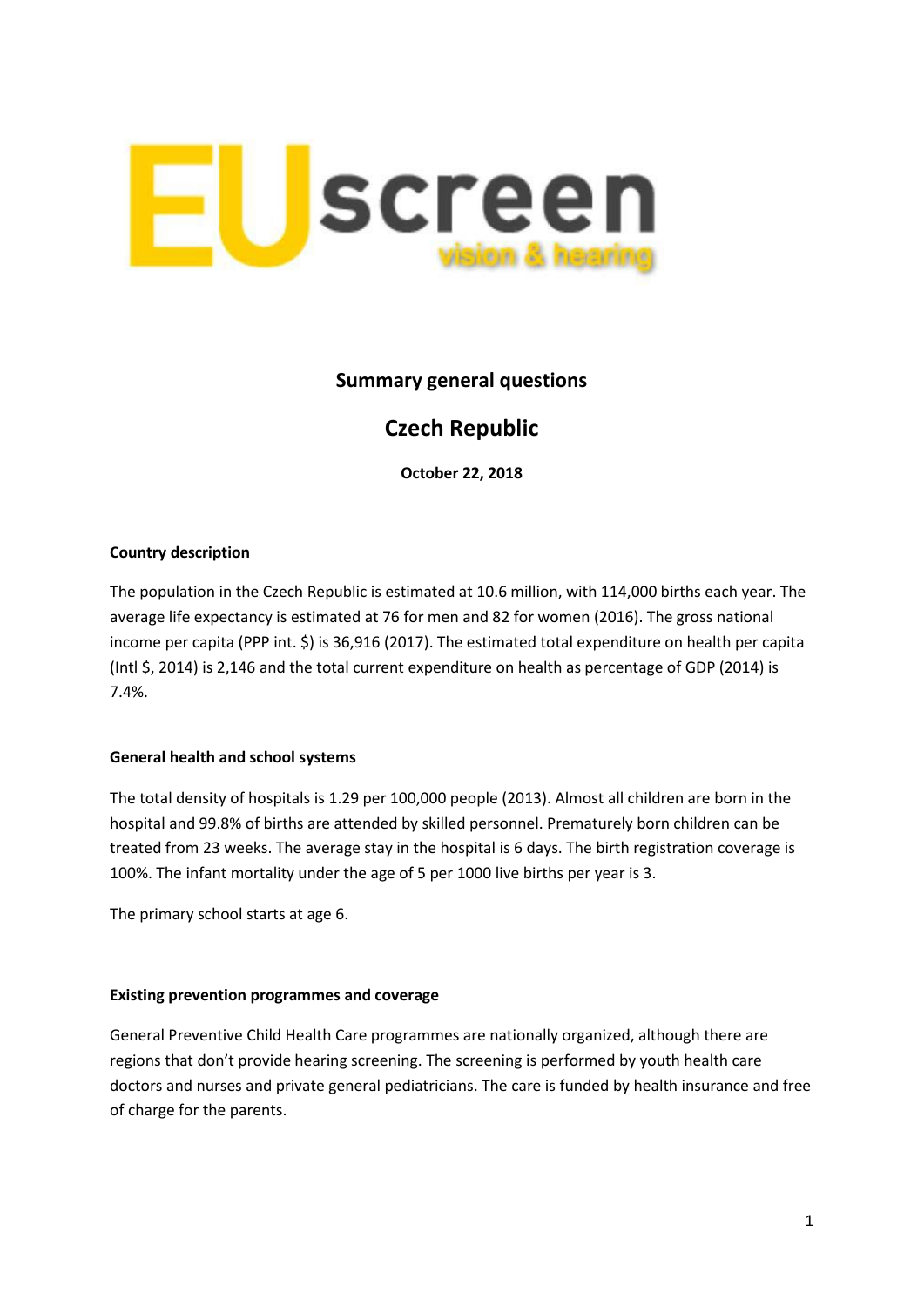

## **Summary general questions**

# **Czech Republic**

**October 22, 2018**

### **Country description**

The population in the Czech Republic is estimated at 10.6 million, with 114,000 births each year. The average life expectancy is estimated at 76 for men and 82 for women (2016). The gross national income per capita (PPP int. \$) is 36,916 (2017). The estimated total expenditure on health per capita (Intl \$, 2014) is 2,146 and the total current expenditure on health as percentage of GDP (2014) is 7.4%.

#### **General health and school systems**

The total density of hospitals is 1.29 per 100,000 people (2013). Almost all children are born in the hospital and 99.8% of births are attended by skilled personnel. Prematurely born children can be treated from 23 weeks. The average stay in the hospital is 6 days. The birth registration coverage is 100%. The infant mortality under the age of 5 per 1000 live births per year is 3.

The primary school starts at age 6.

#### **Existing prevention programmes and coverage**

General Preventive Child Health Care programmes are nationally organized, although there are regions that don't provide hearing screening. The screening is performed by youth health care doctors and nurses and private general pediatricians. The care is funded by health insurance and free of charge for the parents.